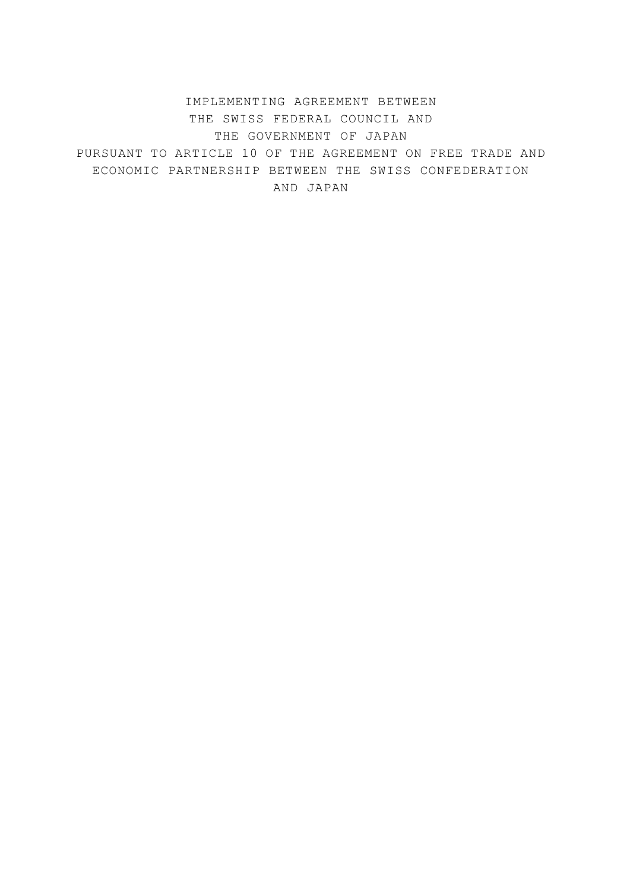IMPLEMENTING AGREEMENT BETWEEN THE SWISS FEDERAL COUNCIL AND THE GOVERNMENT OF JAPAN PURSUANT TO ARTICLE 10 OF THE AGREEMENT ON FREE TRADE AND ECONOMIC PARTNERSHIP BETWEEN THE SWISS CONFEDERATION AND JAPAN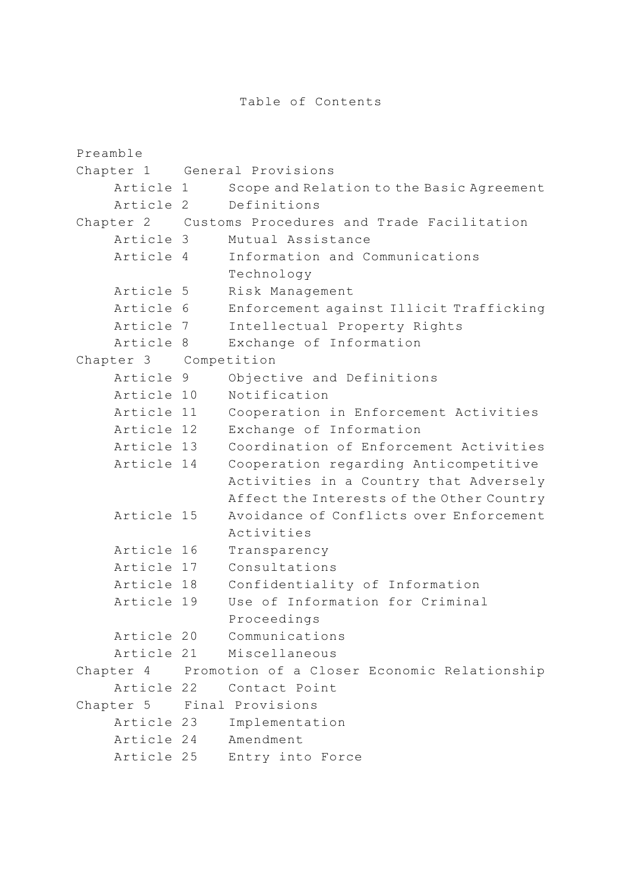```
Preamble 
Chapter 1 General Provisions 
     Article 1 Scope and Relation to the Basic Agreement 
     Article 2 Definitions 
Chapter 2 Customs Procedures and Trade Facilitation 
     Article 3 Mutual Assistance 
     Article 4 Information and Communications 
                 Technology 
     Article 5 Risk Management 
     Article 6 Enforcement against Illicit Trafficking 
     Article 7 Intellectual Property Rights 
     Article 8 Exchange of Information 
Chapter 3 Competition 
     Article 9 Objective and Definitions 
     Article 10 Notification 
     Article 11 Cooperation in Enforcement Activities 
     Article 12 Exchange of Information 
     Article 13 Coordination of Enforcement Activities 
     Article 14 Cooperation regarding Anticompetitive 
                  Activities in a Country that Adversely 
                  Affect the Interests of the Other Country 
     Article 15 Avoidance of Conflicts over Enforcement 
                 Activities 
     Article 16 Transparency 
     Article 17 Consultations 
     Article 18 Confidentiality of Information 
     Article 19 Use of Information for Criminal 
                 Proceedings 
     Article 20 Communications 
     Article 21 Miscellaneous 
Chapter 4 Promotion of a Closer Economic Relationship 
     Article 22 Contact Point 
Chapter 5 Final Provisions 
     Article 23 Implementation 
     Article 24 Amendment 
     Article 25 Entry into Force
```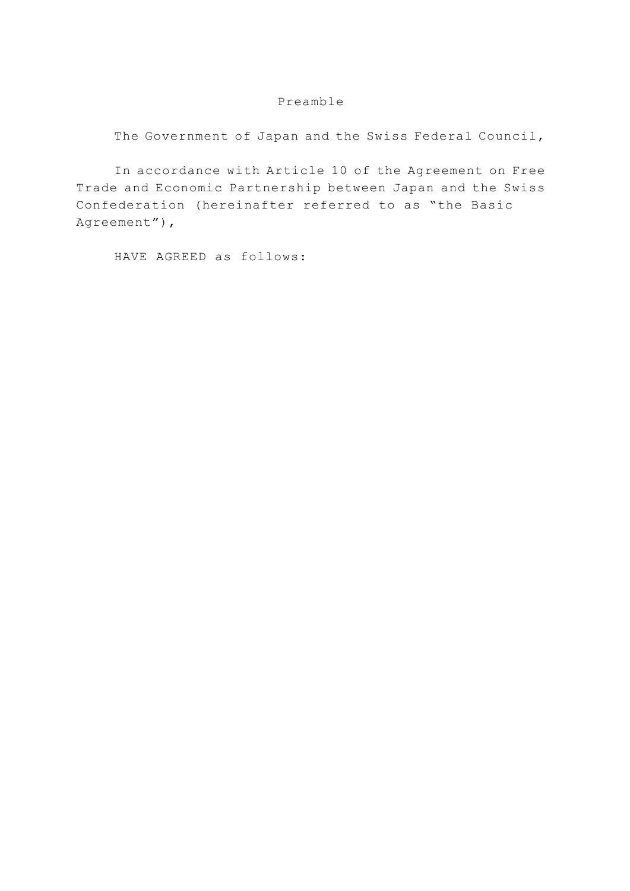#### Preamble

The Government of Japan and the Swiss Federal Council,

 In accordance with Article 10 of the Agreement on Free Trade and Economic Partnership between Japan and the Swiss Confederation (hereinafter referred to as "the Basic Agreement"),

HAVE AGREED as follows: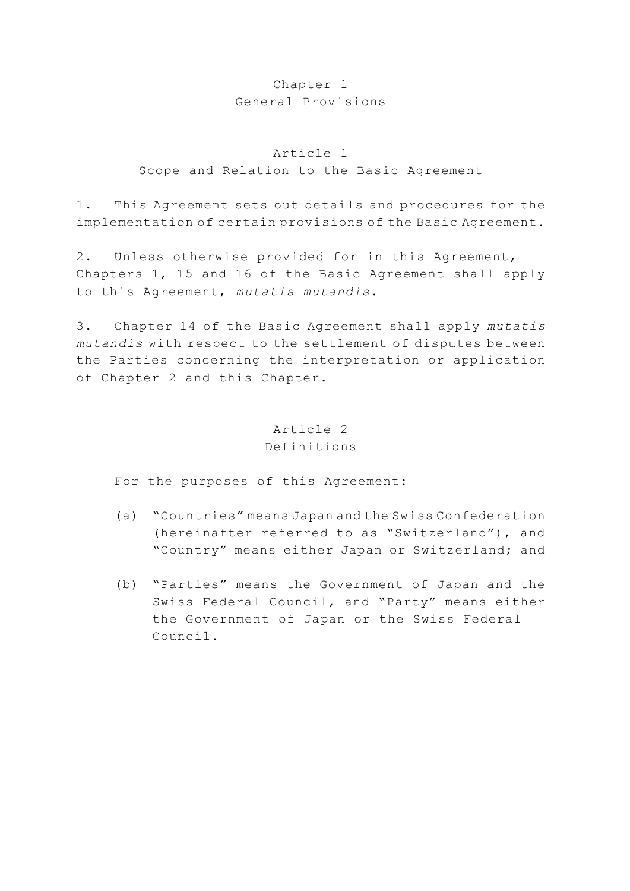## Chapter 1 General Provisions

#### Article 1

#### Scope and Relation to the Basic Agreement

1. This Agreement sets out details and procedures for the implementation of certain provisions of the Basic Agreement.

2. Unless otherwise provided for in this Agreement, Chapters 1, 15 and 16 of the Basic Agreement shall apply to this Agreement, *mutatis mutandis*.

3. Chapter 14 of the Basic Agreement shall apply *mutatis mutandis* with respect to the settlement of disputes between the Parties concerning the interpretation or application of Chapter 2 and this Chapter.

## Article 2 Definitions

For the purposes of this Agreement:

- (a) "Countries" means Japan and the Swiss Confederation (hereinafter referred to as "Switzerland"), and "Country" means either Japan or Switzerland; and
- (b) "Parties" means the Government of Japan and the Swiss Federal Council, and "Party" means either the Government of Japan or the Swiss Federal Council.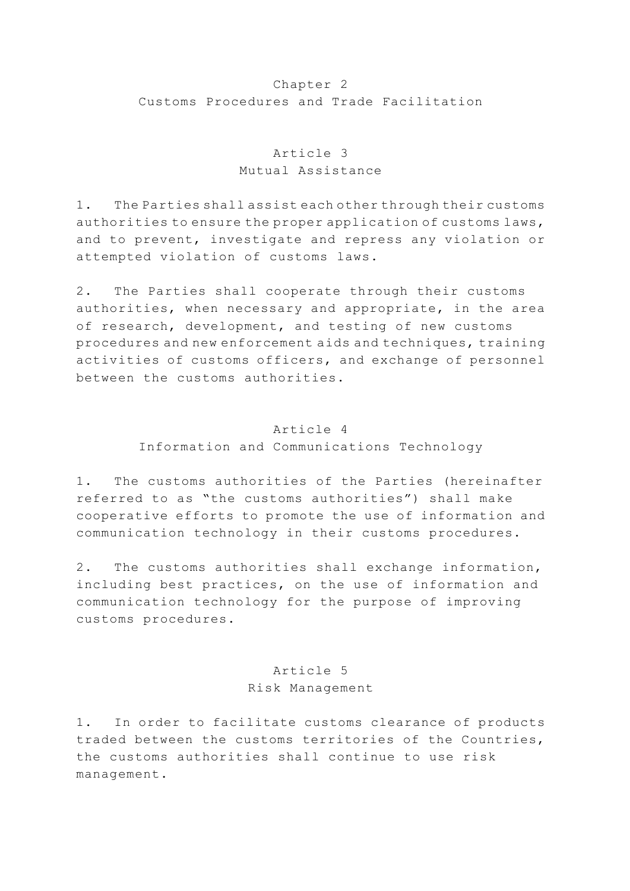### Chapter 2 Customs Procedures and Trade Facilitation

## Article 3 Mutual Assistance

1. The Parties shall assist each other through their customs authorities to ensure the proper application of customs laws, and to prevent, investigate and repress any violation or attempted violation of customs laws.

2. The Parties shall cooperate through their customs authorities, when necessary and appropriate, in the area of research, development, and testing of new customs procedures and new enforcement aids and techniques, training activities of customs officers, and exchange of personnel between the customs authorities.

### Article 4

Information and Communications Technology

1. The customs authorities of the Parties (hereinafter referred to as "the customs authorities") shall make cooperative efforts to promote the use of information and communication technology in their customs procedures.

2. The customs authorities shall exchange information, including best practices, on the use of information and communication technology for the purpose of improving customs procedures.

# Article 5 Risk Management

1. In order to facilitate customs clearance of products traded between the customs territories of the Countries, the customs authorities shall continue to use risk management.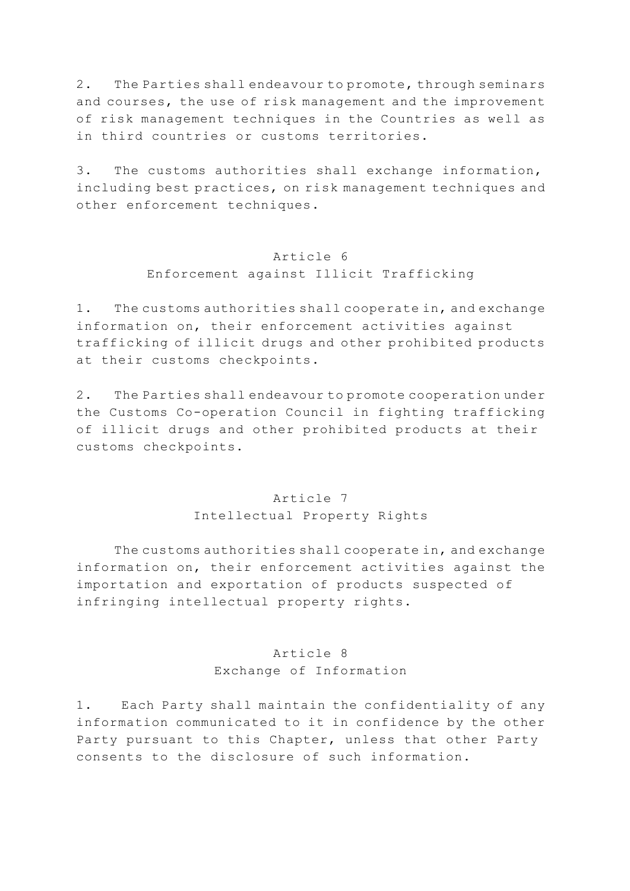2. The Parties shall endeavour to promote, through seminars and courses, the use of risk management and the improvement of risk management techniques in the Countries as well as in third countries or customs territories.

3. The customs authorities shall exchange information, including best practices, on risk management techniques and other enforcement techniques.

#### Article 6

#### Enforcement against Illicit Trafficking

1. The customs authorities shall cooperate in, and exchange information on, their enforcement activities against trafficking of illicit drugs and other prohibited products at their customs checkpoints.

2. The Parties shall endeavour to promote cooperation under the Customs Co-operation Council in fighting trafficking of illicit drugs and other prohibited products at their customs checkpoints.

## Article 7 Intellectual Property Rights

 The customs authorities shall cooperate in, and exchange information on, their enforcement activities against the importation and exportation of products suspected of infringing intellectual property rights.

# Article 8 Exchange of Information

1. Each Party shall maintain the confidentiality of any information communicated to it in confidence by the other Party pursuant to this Chapter, unless that other Party consents to the disclosure of such information.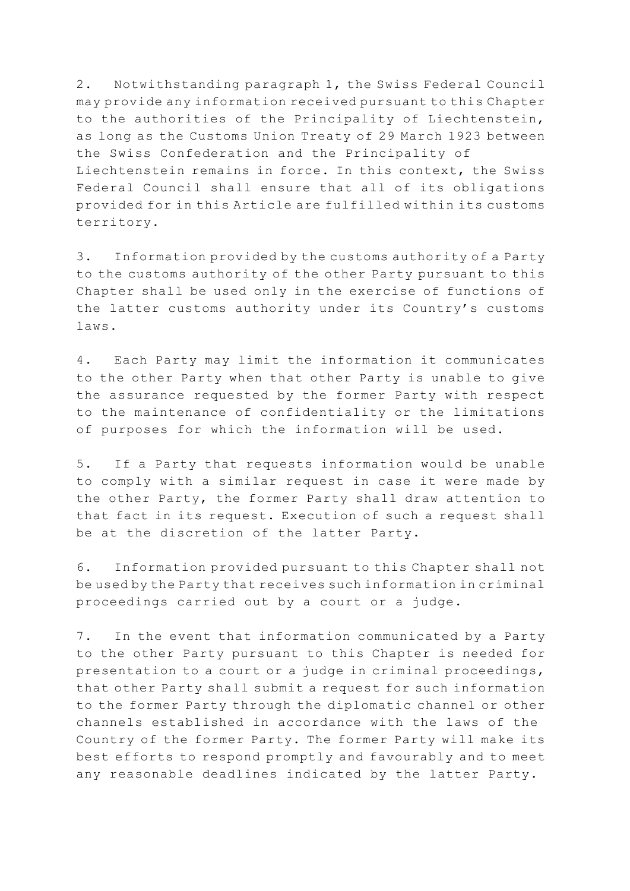2. Notwithstanding paragraph 1, the Swiss Federal Council may provide any information received pursuant to this Chapter to the authorities of the Principality of Liechtenstein, as long as the Customs Union Treaty of 29 March 1923 between the Swiss Confederation and the Principality of Liechtenstein remains in force. In this context, the Swiss Federal Council shall ensure that all of its obligations provided for in this Article are fulfilled within its customs territory.

3. Information provided by the customs authority of a Party to the customs authority of the other Party pursuant to this Chapter shall be used only in the exercise of functions of the latter customs authority under its Country's customs laws.

4. Each Party may limit the information it communicates to the other Party when that other Party is unable to give the assurance requested by the former Party with respect to the maintenance of confidentiality or the limitations of purposes for which the information will be used.

5. If a Party that requests information would be unable to comply with a similar request in case it were made by the other Party, the former Party shall draw attention to that fact in its request. Execution of such a request shall be at the discretion of the latter Party.

6. Information provided pursuant to this Chapter shall not be used by the Party that receives such information in criminal proceedings carried out by a court or a judge.

7. In the event that information communicated by a Party to the other Party pursuant to this Chapter is needed for presentation to a court or a judge in criminal proceedings, that other Party shall submit a request for such information to the former Party through the diplomatic channel or other channels established in accordance with the laws of the Country of the former Party. The former Party will make its best efforts to respond promptly and favourably and to meet any reasonable deadlines indicated by the latter Party.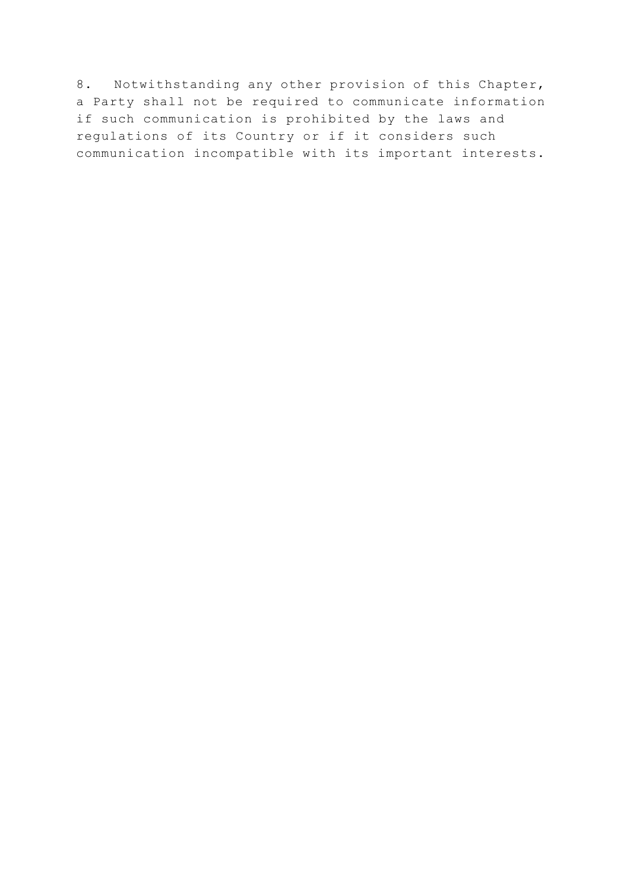8. Notwithstanding any other provision of this Chapter, a Party shall not be required to communicate information if such communication is prohibited by the laws and regulations of its Country or if it considers such communication incompatible with its important interests.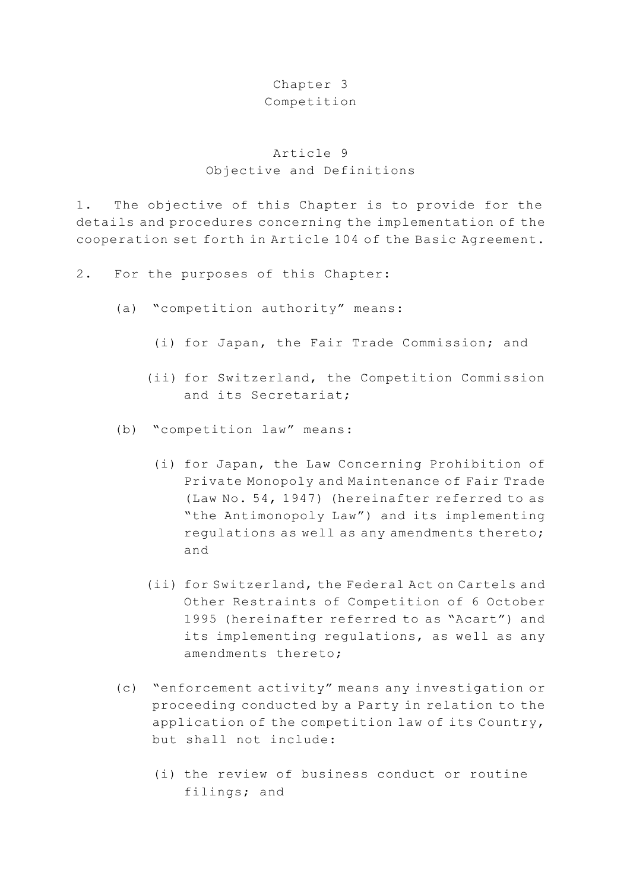### Chapter 3

#### Competition

# Article 9 Objective and Definitions

1. The objective of this Chapter is to provide for the details and procedures concerning the implementation of the cooperation set forth in Article 104 of the Basic Agreement.

- 2. For the purposes of this Chapter:
	- (a) "competition authority" means:
		- (i) for Japan, the Fair Trade Commission; and
		- (ii) for Switzerland, the Competition Commission and its Secretariat;
	- (b) "competition law" means:
		- (i) for Japan, the Law Concerning Prohibition of Private Monopoly and Maintenance of Fair Trade (Law No. 54, 1947) (hereinafter referred to as "the Antimonopoly Law") and its implementing regulations as well as any amendments thereto; and
		- (ii) for Switzerland, the Federal Act on Cartels and Other Restraints of Competition of 6 October 1995 (hereinafter referred to as "Acart") and its implementing regulations, as well as any amendments thereto;
	- (c) "enforcement activity" means any investigation or proceeding conducted by a Party in relation to the application of the competition law of its Country, but shall not include:
		- (i) the review of business conduct or routine filings; and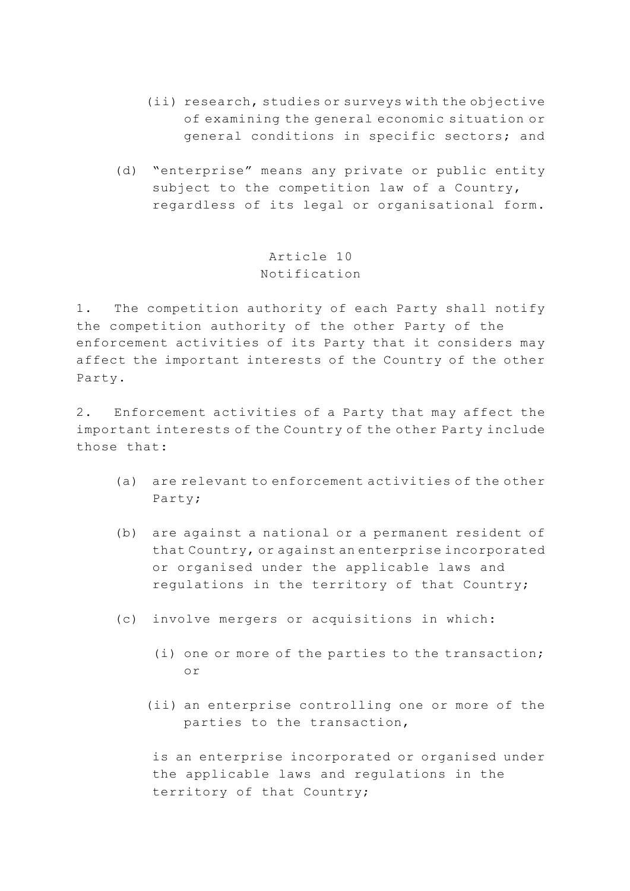- (ii) research, studies or surveys with the objective of examining the general economic situation or general conditions in specific sectors; and
- (d) "enterprise" means any private or public entity subject to the competition law of a Country, regardless of its legal or organisational form.

Article 10 Notification

1. The competition authority of each Party shall notify the competition authority of the other Party of the enforcement activities of its Party that it considers may affect the important interests of the Country of the other Party.

2. Enforcement activities of a Party that may affect the important interests of the Country of the other Party include those that:

- (a) are relevant to enforcement activities of the other Party;
- (b) are against a national or a permanent resident of that Country, or against an enterprise incorporated or organised under the applicable laws and regulations in the territory of that Country;
- (c) involve mergers or acquisitions in which:
	- (i) one or more of the parties to the transaction; or
	- (ii) an enterprise controlling one or more of the parties to the transaction,

 is an enterprise incorporated or organised under the applicable laws and regulations in the territory of that Country;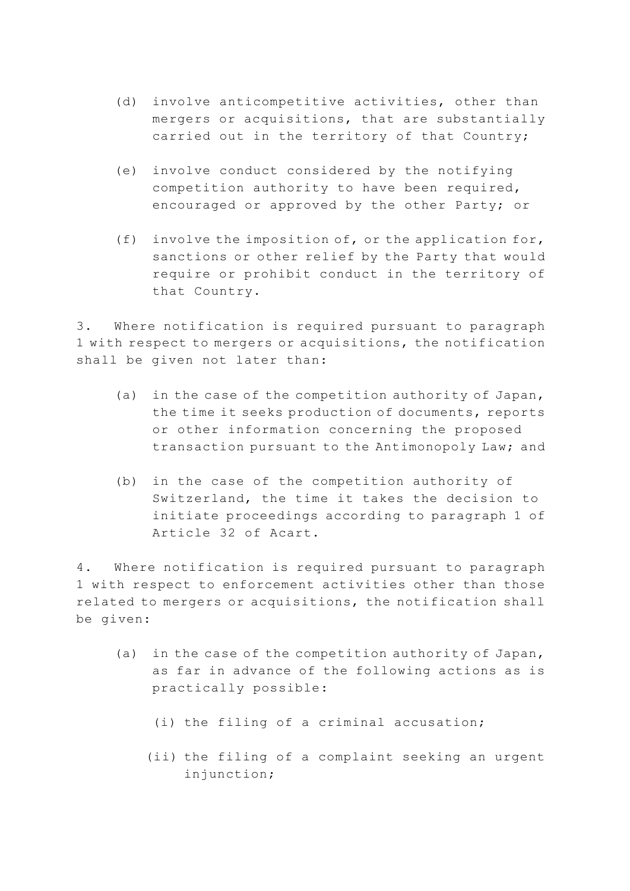- (d) involve anticompetitive activities, other than mergers or acquisitions, that are substantially carried out in the territory of that Country;
- (e) involve conduct considered by the notifying competition authority to have been required, encouraged or approved by the other Party; or
- (f) involve the imposition of, or the application for, sanctions or other relief by the Party that would require or prohibit conduct in the territory of that Country.

3. Where notification is required pursuant to paragraph 1 with respect to mergers or acquisitions, the notification shall be given not later than:

- (a) in the case of the competition authority of Japan, the time it seeks production of documents, reports or other information concerning the proposed transaction pursuant to the Antimonopoly Law; and
- (b) in the case of the competition authority of Switzerland, the time it takes the decision to initiate proceedings according to paragraph 1 of Article 32 of Acart.

4. Where notification is required pursuant to paragraph 1 with respect to enforcement activities other than those related to mergers or acquisitions, the notification shall be given:

- (a) in the case of the competition authority of Japan, as far in advance of the following actions as is practically possible:
	- (i) the filing of a criminal accusation;
	- (ii) the filing of a complaint seeking an urgent injunction;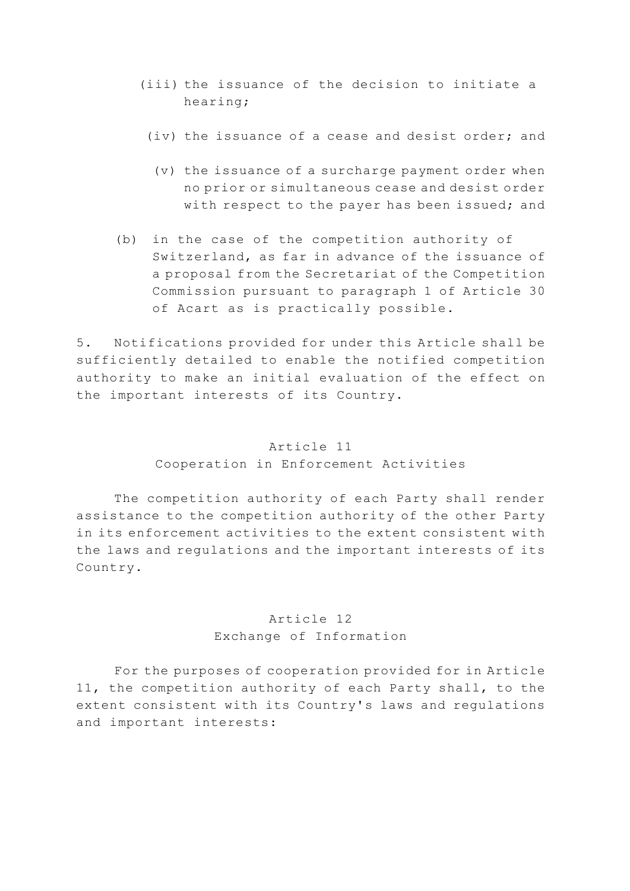- (iii) the issuance of the decision to initiate a hearing;
	- (iv) the issuance of a cease and desist order; and
		- (v) the issuance of a surcharge payment order when no prior or simultaneous cease and desist order with respect to the payer has been issued; and
- (b) in the case of the competition authority of Switzerland, as far in advance of the issuance of a proposal from the Secretariat of the Competition Commission pursuant to paragraph 1 of Article 30 of Acart as is practically possible.

5. Notifications provided for under this Article shall be sufficiently detailed to enable the notified competition authority to make an initial evaluation of the effect on the important interests of its Country.

### Article 11

## Cooperation in Enforcement Activities

 The competition authority of each Party shall render assistance to the competition authority of the other Party in its enforcement activities to the extent consistent with the laws and regulations and the important interests of its Country.

## Article 12 Exchange of Information

 For the purposes of cooperation provided for in Article 11, the competition authority of each Party shall, to the extent consistent with its Country's laws and regulations and important interests: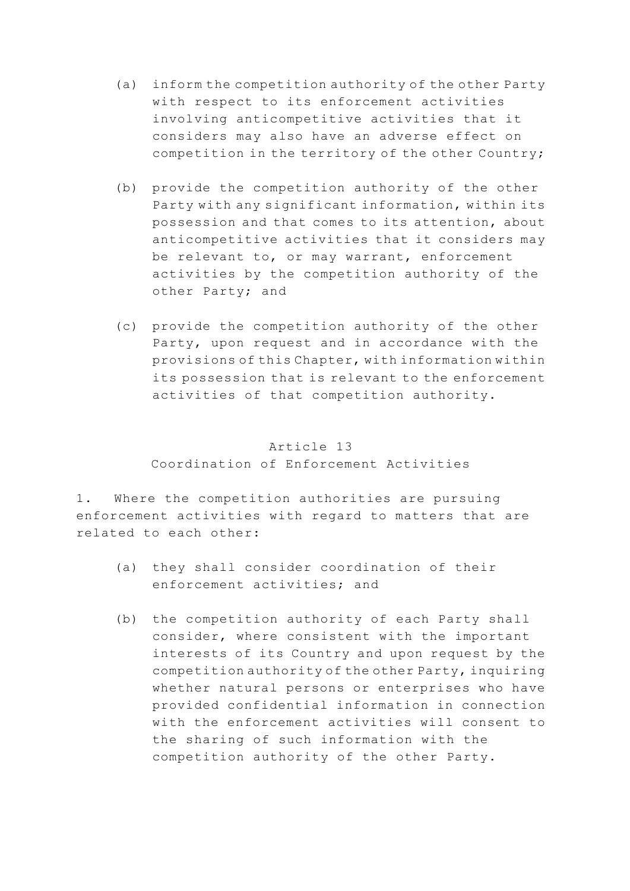- (a) inform the competition authority of the other Party with respect to its enforcement activities involving anticompetitive activities that it considers may also have an adverse effect on competition in the territory of the other Country;
- (b) provide the competition authority of the other Party with any significant information, within its possession and that comes to its attention, about anticompetitive activities that it considers may be relevant to, or may warrant, enforcement activities by the competition authority of the other Party; and
- (c) provide the competition authority of the other Party, upon request and in accordance with the provisions of this Chapter, with information within its possession that is relevant to the enforcement activities of that competition authority.

# Article 13 Coordination of Enforcement Activities

1. Where the competition authorities are pursuing enforcement activities with regard to matters that are related to each other:

- (a) they shall consider coordination of their enforcement activities; and
- (b) the competition authority of each Party shall consider, where consistent with the important interests of its Country and upon request by the competition authority of the other Party, inquiring whether natural persons or enterprises who have provided confidential information in connection with the enforcement activities will consent to the sharing of such information with the competition authority of the other Party.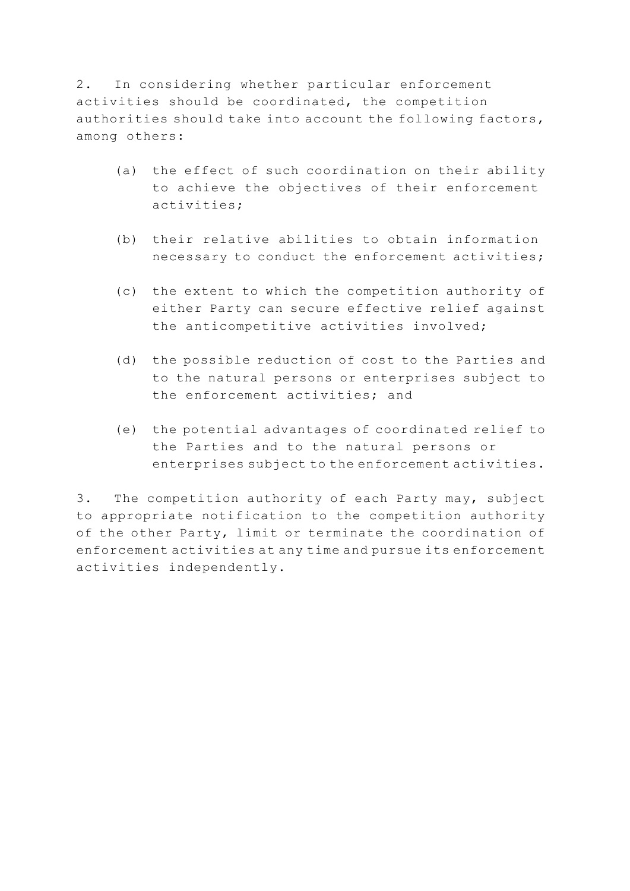2. In considering whether particular enforcement activities should be coordinated, the competition authorities should take into account the following factors, among others:

- (a) the effect of such coordination on their ability to achieve the objectives of their enforcement activities;
- (b) their relative abilities to obtain information necessary to conduct the enforcement activities;
- (c) the extent to which the competition authority of either Party can secure effective relief against the anticompetitive activities involved;
- (d) the possible reduction of cost to the Parties and to the natural persons or enterprises subject to the enforcement activities; and
- (e) the potential advantages of coordinated relief to the Parties and to the natural persons or enterprises subject to the enforcement activities.

3. The competition authority of each Party may, subject to appropriate notification to the competition authority of the other Party, limit or terminate the coordination of enforcement activities at any time and pursue its enforcement activities independently.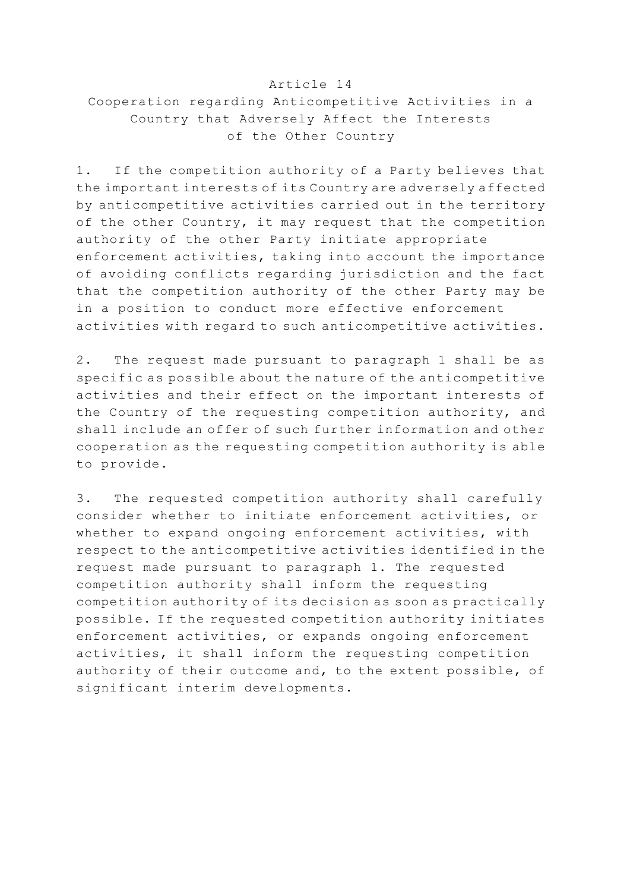#### Article 14

# Cooperation regarding Anticompetitive Activities in a Country that Adversely Affect the Interests of the Other Country

1. If the competition authority of a Party believes that the important interests of its Country are adversely affected by anticompetitive activities carried out in the territory of the other Country, it may request that the competition authority of the other Party initiate appropriate enforcement activities, taking into account the importance of avoiding conflicts regarding jurisdiction and the fact that the competition authority of the other Party may be in a position to conduct more effective enforcement activities with regard to such anticompetitive activities.

2. The request made pursuant to paragraph 1 shall be as specific as possible about the nature of the anticompetitive activities and their effect on the important interests of the Country of the requesting competition authority, and shall include an offer of such further information and other cooperation as the requesting competition authority is able to provide.

3. The requested competition authority shall carefully consider whether to initiate enforcement activities, or whether to expand ongoing enforcement activities, with respect to the anticompetitive activities identified in the request made pursuant to paragraph 1. The requested competition authority shall inform the requesting competition authority of its decision as soon as practically possible. If the requested competition authority initiates enforcement activities, or expands ongoing enforcement activities, it shall inform the requesting competition authority of their outcome and, to the extent possible, of significant interim developments.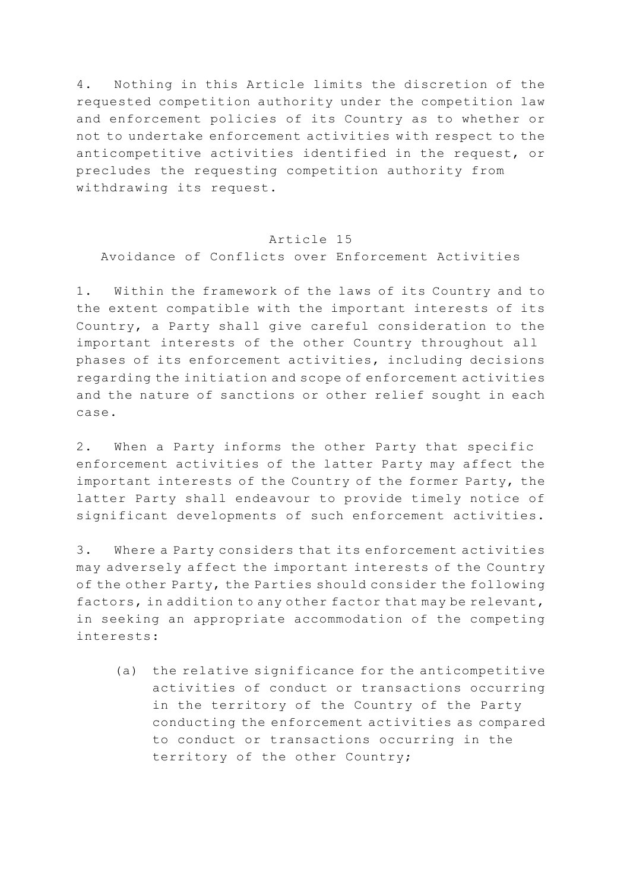4. Nothing in this Article limits the discretion of the requested competition authority under the competition law and enforcement policies of its Country as to whether or not to undertake enforcement activities with respect to the anticompetitive activities identified in the request, or precludes the requesting competition authority from withdrawing its request.

#### Article 15

Avoidance of Conflicts over Enforcement Activities

1. Within the framework of the laws of its Country and to the extent compatible with the important interests of its Country, a Party shall give careful consideration to the important interests of the other Country throughout all phases of its enforcement activities, including decisions regarding the initiation and scope of enforcement activities and the nature of sanctions or other relief sought in each case.

2. When a Party informs the other Party that specific enforcement activities of the latter Party may affect the important interests of the Country of the former Party, the latter Party shall endeavour to provide timely notice of significant developments of such enforcement activities.

3. Where a Party considers that its enforcement activities may adversely affect the important interests of the Country of the other Party, the Parties should consider the following factors, in addition to any other factor that may be relevant, in seeking an appropriate accommodation of the competing interests:

 (a) the relative significance for the anticompetitive activities of conduct or transactions occurring in the territory of the Country of the Party conducting the enforcement activities as compared to conduct or transactions occurring in the territory of the other Country;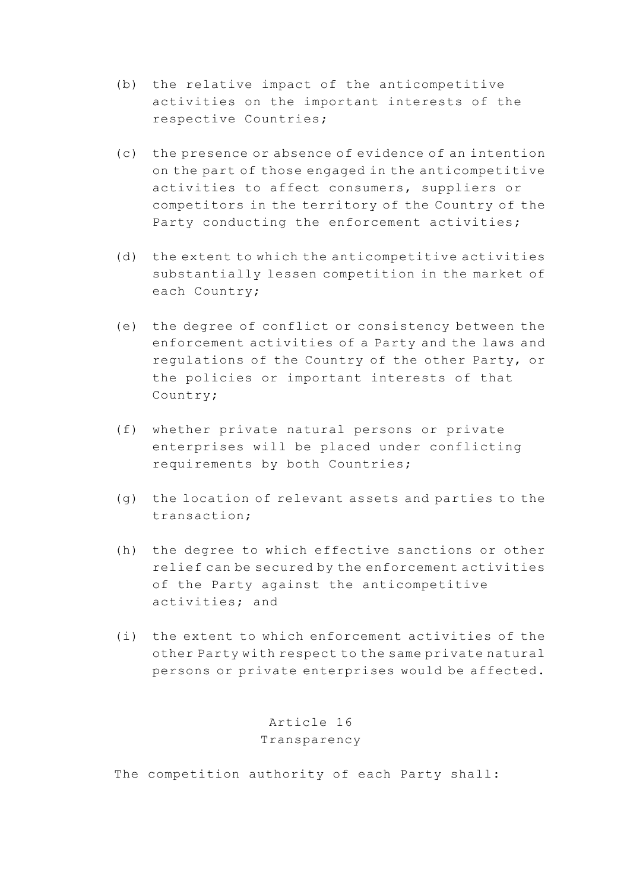- (b) the relative impact of the anticompetitive activities on the important interests of the respective Countries;
- (c) the presence or absence of evidence of an intention on the part of those engaged in the anticompetitive activities to affect consumers, suppliers or competitors in the territory of the Country of the Party conducting the enforcement activities;
- (d) the extent to which the anticompetitive activities substantially lessen competition in the market of each Country;
- (e) the degree of conflict or consistency between the enforcement activities of a Party and the laws and regulations of the Country of the other Party, or the policies or important interests of that Country;
- (f) whether private natural persons or private enterprises will be placed under conflicting requirements by both Countries;
- (g) the location of relevant assets and parties to the transaction;
- (h) the degree to which effective sanctions or other relief can be secured by the enforcement activities of the Party against the anticompetitive activities; and
- (i) the extent to which enforcement activities of the other Party with respect to the same private natural persons or private enterprises would be affected.

Article 16 Transparency

The competition authority of each Party shall: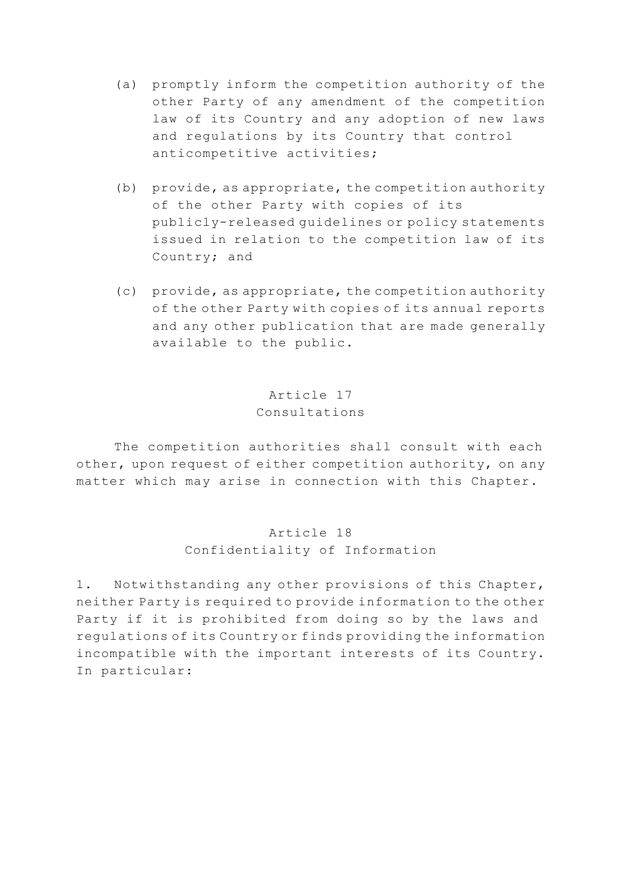- (a) promptly inform the competition authority of the other Party of any amendment of the competition law of its Country and any adoption of new laws and regulations by its Country that control anticompetitive activities;
- (b) provide, as appropriate, the competition authority of the other Party with copies of its publicly-released guidelines or policy statements issued in relation to the competition law of its Country; and
- (c) provide, as appropriate, the competition authority of the other Party with copies of its annual reports and any other publication that are made generally available to the public.

# Article 17 Consultations

 The competition authorities shall consult with each other, upon request of either competition authority, on any matter which may arise in connection with this Chapter.

> Article 18 Confidentiality of Information

1. Notwithstanding any other provisions of this Chapter, neither Party is required to provide information to the other Party if it is prohibited from doing so by the laws and regulations of its Country or finds providing the information incompatible with the important interests of its Country. In particular: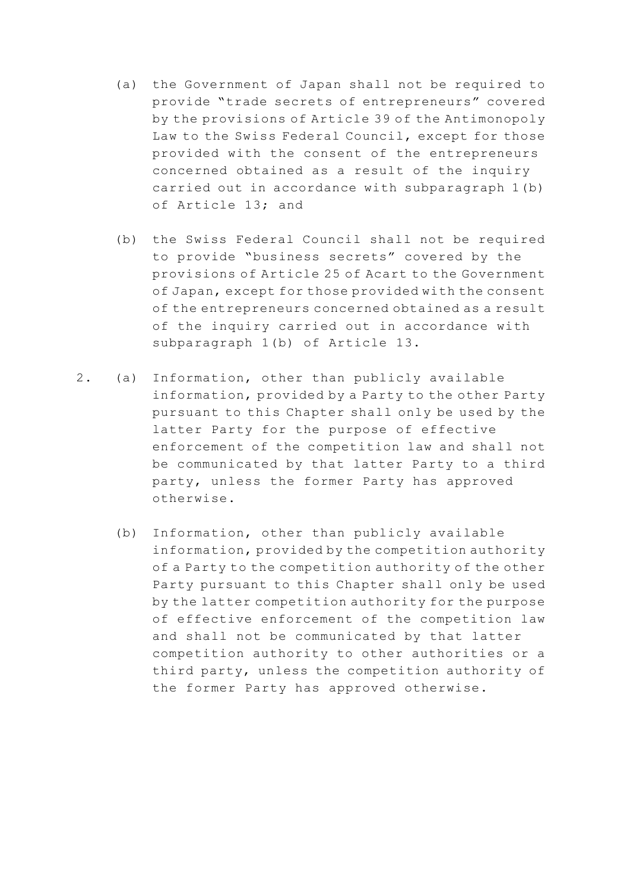- (a) the Government of Japan shall not be required to provide "trade secrets of entrepreneurs" covered by the provisions of Article 39 of the Antimonopoly Law to the Swiss Federal Council, except for those provided with the consent of the entrepreneurs concerned obtained as a result of the inquiry carried out in accordance with subparagraph 1(b) of Article 13; and
- (b) the Swiss Federal Council shall not be required to provide "business secrets" covered by the provisions of Article 25 of Acart to the Government of Japan, except for those provided with the consent of the entrepreneurs concerned obtained as a result of the inquiry carried out in accordance with subparagraph 1(b) of Article 13.
- 2. (a) Information, other than publicly available information, provided by a Party to the other Party pursuant to this Chapter shall only be used by the latter Party for the purpose of effective enforcement of the competition law and shall not be communicated by that latter Party to a third party, unless the former Party has approved otherwise.
	- (b) Information, other than publicly available information, provided by the competition authority of a Party to the competition authority of the other Party pursuant to this Chapter shall only be used by the latter competition authority for the purpose of effective enforcement of the competition law and shall not be communicated by that latter competition authority to other authorities or a third party, unless the competition authority of the former Party has approved otherwise.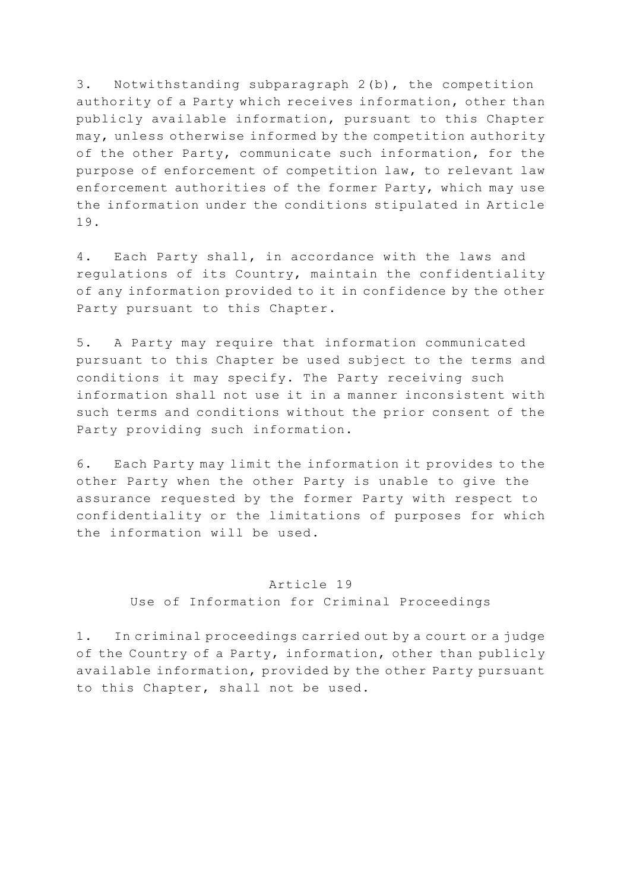3. Notwithstanding subparagraph 2(b), the competition authority of a Party which receives information, other than publicly available information, pursuant to this Chapter may, unless otherwise informed by the competition authority of the other Party, communicate such information, for the purpose of enforcement of competition law, to relevant law enforcement authorities of the former Party, which may use the information under the conditions stipulated in Article 19.

4. Each Party shall, in accordance with the laws and regulations of its Country, maintain the confidentiality of any information provided to it in confidence by the other Party pursuant to this Chapter.

5. A Party may require that information communicated pursuant to this Chapter be used subject to the terms and conditions it may specify. The Party receiving such information shall not use it in a manner inconsistent with such terms and conditions without the prior consent of the Party providing such information.

6. Each Party may limit the information it provides to the other Party when the other Party is unable to give the assurance requested by the former Party with respect to confidentiality or the limitations of purposes for which the information will be used.

### Article 19

Use of Information for Criminal Proceedings

1. In criminal proceedings carried out by a court or a judge of the Country of a Party, information, other than publicly available information, provided by the other Party pursuant to this Chapter, shall not be used.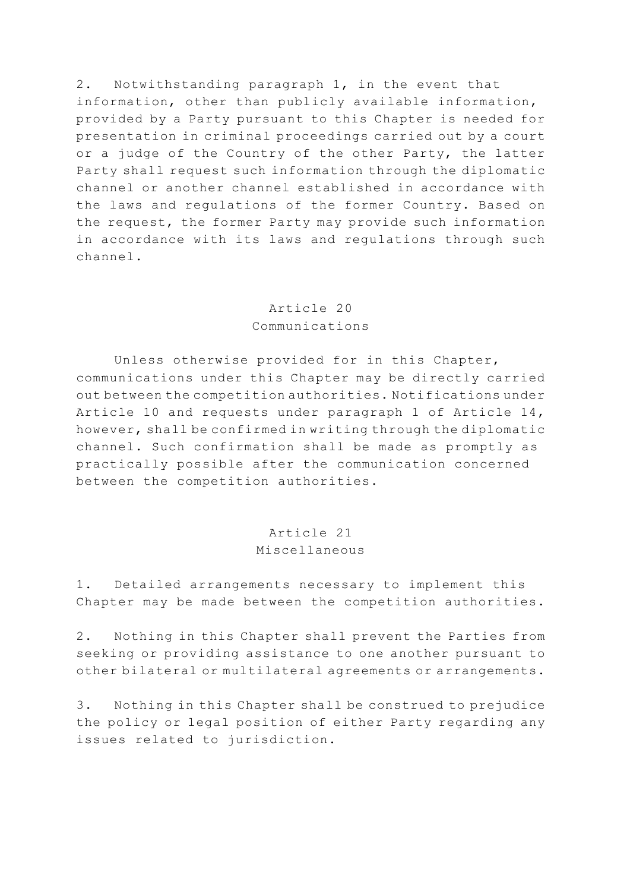2. Notwithstanding paragraph 1, in the event that information, other than publicly available information, provided by a Party pursuant to this Chapter is needed for presentation in criminal proceedings carried out by a court or a judge of the Country of the other Party, the latter Party shall request such information through the diplomatic channel or another channel established in accordance with the laws and regulations of the former Country. Based on the request, the former Party may provide such information in accordance with its laws and regulations through such channel.

## Article 20 Communications

 Unless otherwise provided for in this Chapter, communications under this Chapter may be directly carried out between the competition authorities. Notifications under Article 10 and requests under paragraph 1 of Article 14, however, shall be confirmed in writing through the diplomatic channel. Such confirmation shall be made as promptly as practically possible after the communication concerned between the competition authorities.

### Article 21 Miscellaneous

1. Detailed arrangements necessary to implement this Chapter may be made between the competition authorities.

2. Nothing in this Chapter shall prevent the Parties from seeking or providing assistance to one another pursuant to other bilateral or multilateral agreements or arrangements.

3. Nothing in this Chapter shall be construed to prejudice the policy or legal position of either Party regarding any issues related to jurisdiction.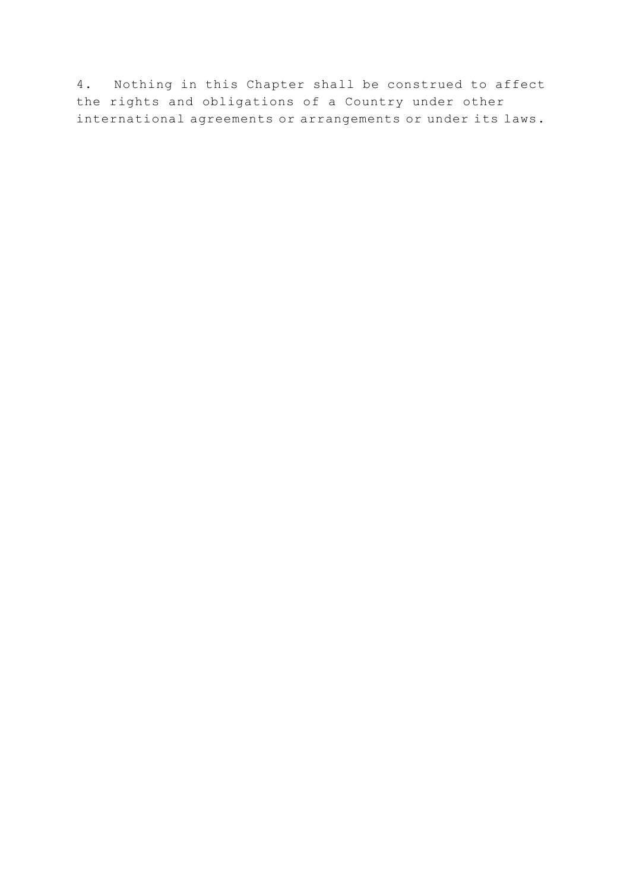4. Nothing in this Chapter shall be construed to affect the rights and obligations of a Country under other international agreements or arrangements or under its laws.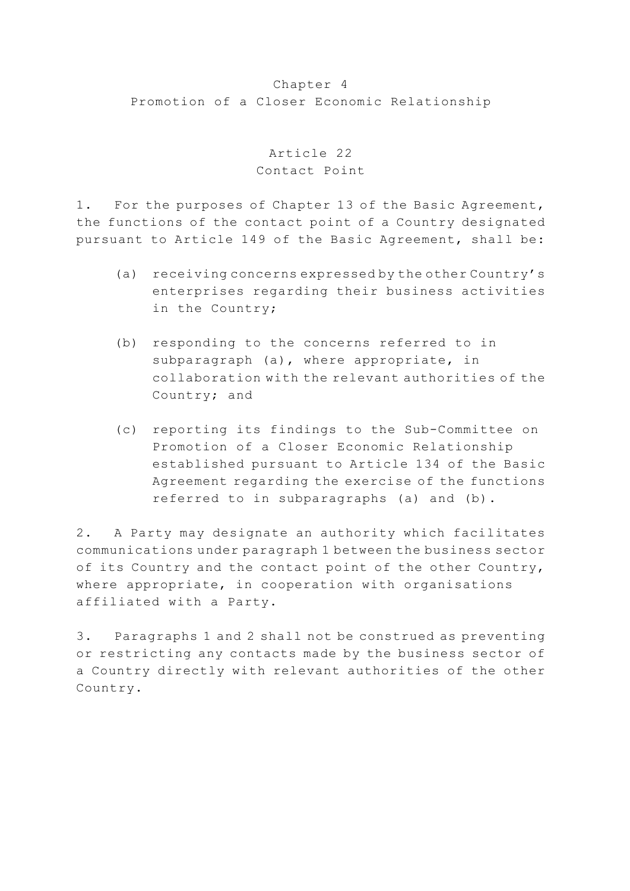#### Chapter 4

Promotion of a Closer Economic Relationship

Article 22 Contact Point

1. For the purposes of Chapter 13 of the Basic Agreement, the functions of the contact point of a Country designated pursuant to Article 149 of the Basic Agreement, shall be:

- (a) receiving concerns expressed by the other Country's enterprises regarding their business activities in the Country;
- (b) responding to the concerns referred to in subparagraph (a), where appropriate, in collaboration with the relevant authorities of the Country; and
- (c) reporting its findings to the Sub-Committee on Promotion of a Closer Economic Relationship established pursuant to Article 134 of the Basic Agreement regarding the exercise of the functions referred to in subparagraphs (a) and (b).

2. A Party may designate an authority which facilitates communications under paragraph 1 between the business sector of its Country and the contact point of the other Country, where appropriate, in cooperation with organisations affiliated with a Party.

3. Paragraphs 1 and 2 shall not be construed as preventing or restricting any contacts made by the business sector of a Country directly with relevant authorities of the other Country.